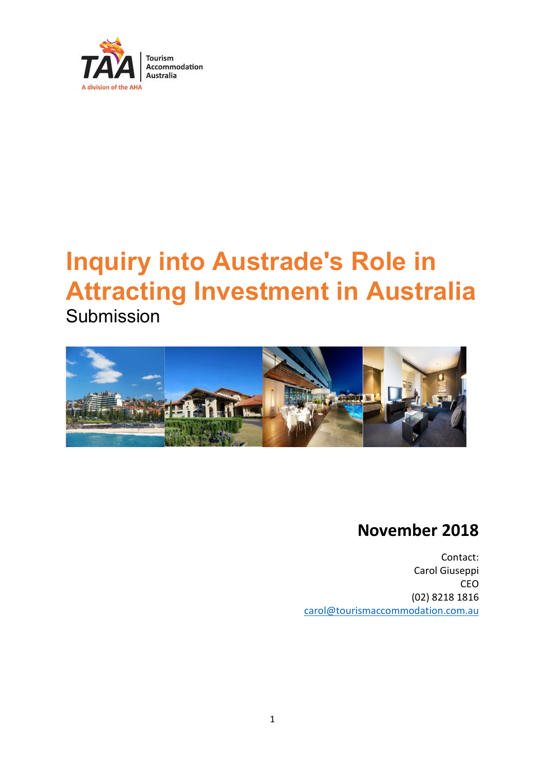

# **Inquiry into Austrade's Role in Attracting Investment in Australia**





# **November 2018**

Contact: Carol Giuseppi CEO (02) 8218 1816 [carol@tourismaccommodation.com.au](mailto:carol@tourismaccommodation.com.au)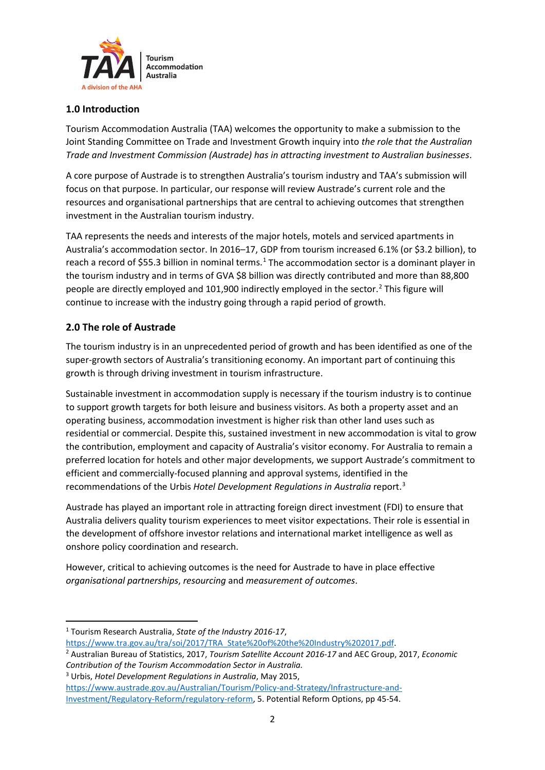

## **1.0 Introduction**

Tourism Accommodation Australia (TAA) welcomes the opportunity to make a submission to the Joint Standing Committee on Trade and Investment Growth inquiry into *the role that the Australian Trade and Investment Commission (Austrade) has in attracting investment to Australian businesses*.

A core purpose of Austrade is to strengthen Australia's tourism industry and TAA's submission will focus on that purpose. In particular, our response will review Austrade's current role and the resources and organisational partnerships that are central to achieving outcomes that strengthen investment in the Australian tourism industry.

TAA represents the needs and interests of the major hotels, motels and serviced apartments in Australia's accommodation sector. In 2016–17, GDP from tourism increased 6.1% (or \$3.2 billion), to reach a record of \$55.3 billion in nominal terms.<sup>[1](#page-1-0)</sup> The accommodation sector is a dominant player in the tourism industry and in terms of GVA \$8 billion was directly contributed and more than 88,800 people are directly employed and 101,900 indirectly employed in the sector.<sup>[2](#page-1-1)</sup> This figure will continue to increase with the industry going through a rapid period of growth.

# **2.0 The role of Austrade**

The tourism industry is in an unprecedented period of growth and has been identified as one of the super-growth sectors of Australia's transitioning economy. An important part of continuing this growth is through driving investment in tourism infrastructure.

Sustainable investment in accommodation supply is necessary if the tourism industry is to continue to support growth targets for both leisure and business visitors. As both a property asset and an operating business, accommodation investment is higher risk than other land uses such as residential or commercial. Despite this, sustained investment in new accommodation is vital to grow the contribution, employment and capacity of Australia's visitor economy. For Australia to remain a preferred location for hotels and other major developments, we support Austrade's commitment to efficient and commercially-focused planning and approval systems, identified in the recommendations of the Urbis *Hotel Development Regulations in Australia* report. [3](#page-1-2)

Austrade has played an important role in attracting foreign direct investment (FDI) to ensure that Australia delivers quality tourism experiences to meet visitor expectations. Their role is essential in the development of offshore investor relations and international market intelligence as well as onshore policy coordination and research.

However, critical to achieving outcomes is the need for Austrade to have in place effective *organisational partnerships*, *resourcing* and *measurement of outcomes*.

<span id="page-1-0"></span> <sup>1</sup> Tourism Research Australia, *State of the Industry 2016-17*,

<span id="page-1-1"></span>[https://www.tra.gov.au/tra/soi/2017/TRA\\_State%20of%20the%20Industry%202017.pdf.](https://www.tra.gov.au/tra/soi/2017/TRA_State%20of%20the%20Industry%202017.pdf) 2 Australian Bureau of Statistics, 2017, *Tourism Satellite Account 2016-17* and AEC Group, 2017, *Economic Contribution of the Tourism Accommodation Sector in Australia.*

<span id="page-1-2"></span><sup>3</sup> Urbis, *Hotel Development Regulations in Australia*, May 2015,

[https://www.austrade.gov.au/Australian/Tourism/Policy-and-Strategy/Infrastructure-and-](https://www.austrade.gov.au/Australian/Tourism/Policy-and-Strategy/Infrastructure-and-Investment/Regulatory-Reform/regulatory-reform)[Investment/Regulatory-Reform/regulatory-reform,](https://www.austrade.gov.au/Australian/Tourism/Policy-and-Strategy/Infrastructure-and-Investment/Regulatory-Reform/regulatory-reform) 5. Potential Reform Options, pp 45-54.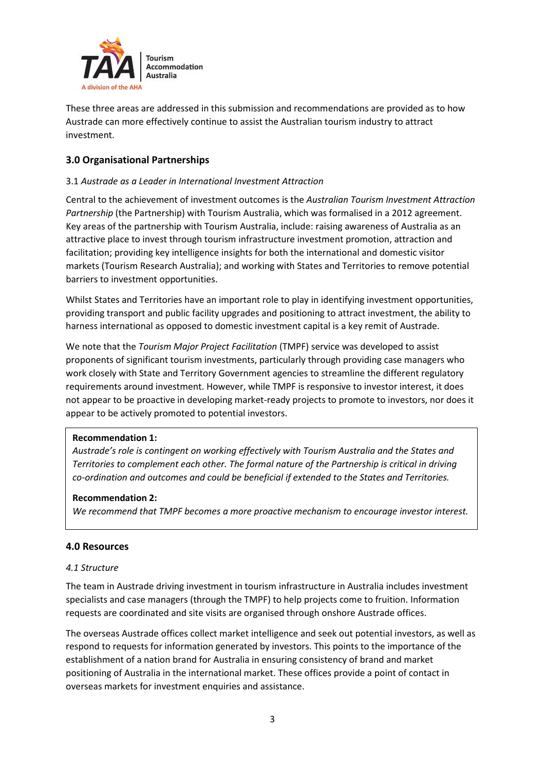

These three areas are addressed in this submission and recommendations are provided as to how Austrade can more effectively continue to assist the Australian tourism industry to attract investment.

## **3.0 Organisational Partnerships**

#### 3.1 *Austrade as a Leader in International Investment Attraction*

Central to the achievement of investment outcomes is the *Australian Tourism Investment Attraction Partnership* (the Partnership) with Tourism Australia, which was formalised in a 2012 agreement. Key areas of the partnership with Tourism Australia, include: raising awareness of Australia as an attractive place to invest through tourism infrastructure investment promotion, attraction and facilitation; providing key intelligence insights for both the international and domestic visitor markets (Tourism Research Australia); and working with States and Territories to remove potential barriers to investment opportunities.

Whilst States and Territories have an important role to play in identifying investment opportunities, providing transport and public facility upgrades and positioning to attract investment, the ability to harness international as opposed to domestic investment capital is a key remit of Austrade.

We note that the *Tourism Major Project Facilitation* (TMPF) service was developed to assist proponents of significant tourism investments, particularly through providing case managers who work closely with State and Territory Government agencies to streamline the different regulatory requirements around investment. However, while TMPF is responsive to investor interest, it does not appear to be proactive in developing market-ready projects to promote to investors, nor does it appear to be actively promoted to potential investors.

#### **Recommendation 1:**

*Austrade's role is contingent on working effectively with Tourism Australia and the States and Territories to complement each other. The formal nature of the Partnership is critical in driving co-ordination and outcomes and could be beneficial if extended to the States and Territories.* 

#### **Recommendation 2:**

*We recommend that TMPF becomes a more proactive mechanism to encourage investor interest.*

#### **4.0 Resources**

#### *4.1 Structure*

The team in Austrade driving investment in tourism infrastructure in Australia includes investment specialists and case managers (through the TMPF) to help projects come to fruition. Information requests are coordinated and site visits are organised through onshore Austrade offices.

The overseas Austrade offices collect market intelligence and seek out potential investors, as well as respond to requests for information generated by investors. This points to the importance of the establishment of a nation brand for Australia in ensuring consistency of brand and market positioning of Australia in the international market. These offices provide a point of contact in overseas markets for investment enquiries and assistance.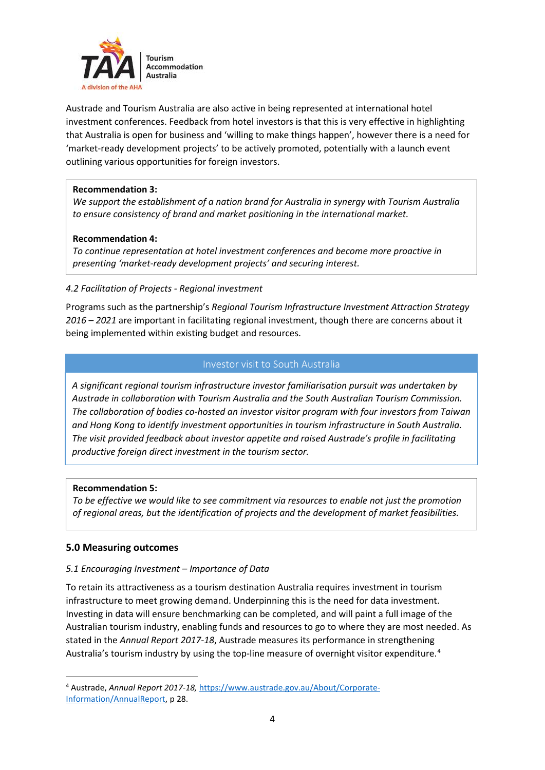

Austrade and Tourism Australia are also active in being represented at international hotel investment conferences. Feedback from hotel investors is that this is very effective in highlighting that Australia is open for business and 'willing to make things happen', however there is a need for 'market-ready development projects' to be actively promoted, potentially with a launch event outlining various opportunities for foreign investors.

#### **Recommendation 3:**

*We support the establishment of a nation brand for Australia in synergy with Tourism Australia to ensure consistency of brand and market positioning in the international market.*

#### **Recommendation 4:**

*To continue representation at hotel investment conferences and become more proactive in presenting 'market-ready development projects' and securing interest.*

#### *4.2 Facilitation of Projects - Regional investment*

Programs such as the partnership's *Regional Tourism Infrastructure Investment Attraction Strategy 2016 – 2021* are important in facilitating regional investment, though there are concerns about it being implemented within existing budget and resources.

#### Investor visit to South Australia

*A significant regional tourism infrastructure investor familiarisation pursuit was undertaken by Austrade in collaboration with Tourism Australia and the South Australian Tourism Commission. The collaboration of bodies co-hosted an investor visitor program with four investors from Taiwan and Hong Kong to identify investment opportunities in tourism infrastructure in South Australia. The visit provided feedback about investor appetite and raised Austrade's profile in facilitating productive foreign direct investment in the tourism sector.* 

#### **Recommendation 5:**

*To be effective we would like to see commitment via resources to enable not just the promotion of regional areas, but the identification of projects and the development of market feasibilities.*

#### **5.0 Measuring outcomes**

#### *5.1 Encouraging Investment – Importance of Data*

To retain its attractiveness as a tourism destination Australia requires investment in tourism infrastructure to meet growing demand. Underpinning this is the need for data investment. Investing in data will ensure benchmarking can be completed, and will paint a full image of the Australian tourism industry, enabling funds and resources to go to where they are most needed. As stated in the *Annual Report 2017-18*, Austrade measures its performance in strengthening Australia's tourism industry by using the top-line measure of overnight visitor expenditure.<sup>[4](#page-3-0)</sup>

<span id="page-3-0"></span> <sup>4</sup> Austrade, *Annual Report 2017-18,* [https://www.austrade.gov.au/About/Corporate-](https://www.austrade.gov.au/About/Corporate-Information/AnnualReport)[Information/AnnualReport,](https://www.austrade.gov.au/About/Corporate-Information/AnnualReport) p 28.